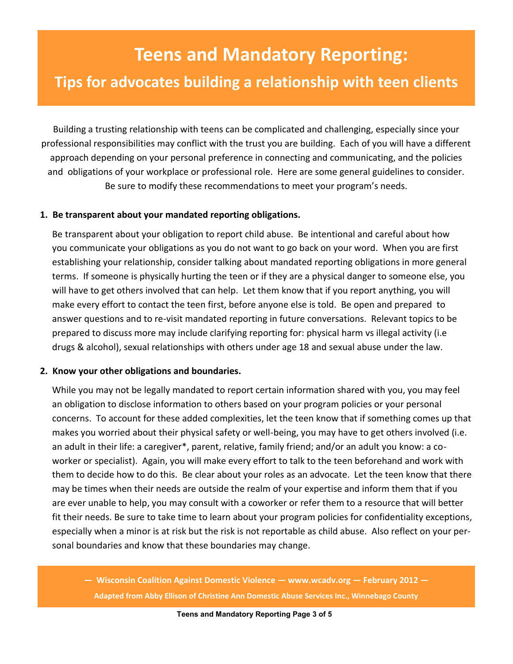# **Teens and Mandatory Reporting: Tips for advocates building a relationship with teen clients**

Building a trusting relationship with teens can be complicated and challenging, especially since your professional responsibilities may conflict with the trust you are building. Each of you will have a different approach depending on your personal preference in connecting and communicating, and the policies and obligations of your workplace or professional role. Here are some general guidelines to consider. Be sure to modify these recommendations to meet your program's needs.

# **1. Be transparent about your mandated reporting obligations.**

Be transparent about your obligation to report child abuse. Be intentional and careful about how you communicate your obligations as you do not want to go back on your word. When you are first establishing your relationship, consider talking about mandated reporting obligations in more general terms. If someone is physically hurting the teen or if they are a physical danger to someone else, you will have to get others involved that can help. Let them know that if you report anything, you will make every effort to contact the teen first, before anyone else is told. Be open and prepared to answer questions and to re-visit mandated reporting in future conversations. Relevant topics to be prepared to discuss more may include clarifying reporting for: physical harm vs illegal activity (i.e drugs & alcohol), sexual relationships with others under age 18 and sexual abuse under the law.

#### **2. Know your other obligations and boundaries.**

While you may not be legally mandated to report certain information shared with you, you may feel an obligation to disclose information to others based on your program policies or your personal concerns. To account for these added complexities, let the teen know that if something comes up that makes you worried about their physical safety or well-being, you may have to get others involved (i.e. an adult in their life: a caregiver\*, parent, relative, family friend; and/or an adult you know: a coworker or specialist). Again, you will make every effort to talk to the teen beforehand and work with them to decide how to do this. Be clear about your roles as an advocate. Let the teen know that there may be times when their needs are outside the realm of your expertise and inform them that if you are ever unable to help, you may consult with a coworker or refer them to a resource that will better fit their needs. Be sure to take time to learn about your program policies for confidentiality exceptions, especially when a minor is at risk but the risk is not reportable as child abuse. Also reflect on your personal boundaries and know that these boundaries may change.

**— Wisconsin Coalition Against Domestic Violence — www.wcadv.org — February 2012 — Adapted from Abby Ellison of Christine Ann Domestic Abuse Services Inc., Winnebago County**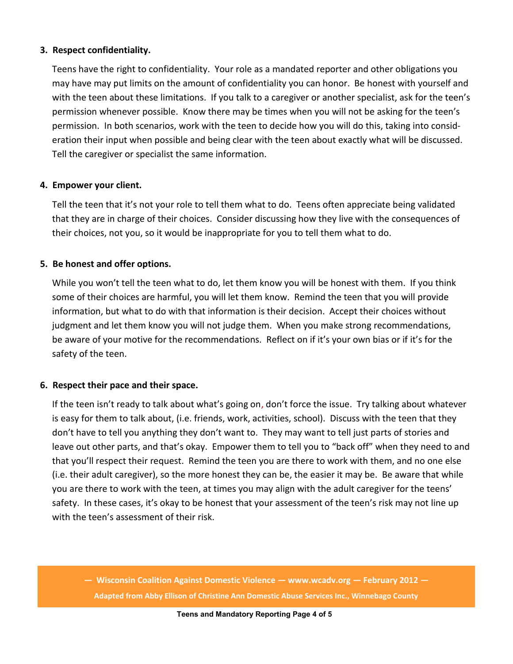## **3. Respect confidentiality.**

i eens nave the right to confidentiality. Your role as a mandated reporter and other obligations you<br>may have may put limits on the amount of confidentiality you can honor. Be honest with yourself and Teens have the right to confidentiality. Your role as a mandated reporter and other obligations you with the teen about these limitations. If you talk to a caregiver or another specialist, ask for the teen's permission whenever possible. Know there may be times when you will not be asking for the teen's permission. In both scenarios, work with the teen to decide how you will do this, taking into consideration their input when possible and being clear with the teen about exactly what will be discussed. Tell the caregiver or specialist the same information.

## **4. Empower your client.**

Tell the teen that it's not your role to tell them what to do. Teens often appreciate being validated that they are in charge of their choices. Consider discussing how they live with the consequences of their choices, not you, so it would be inappropriate for you to tell them what to do.

# **5. Be honest and offer options.**

While you won't tell the teen what to do, let them know you will be honest with them. If you think some of their choices are harmful, you will let them know. Remind the teen that you will provide information, but what to do with that information is their decision. Accept their choices without judgment and let them know you will not judge them. When you make strong recommendations, be aware of your motive for the recommendations. Reflect on if it's your own bias or if it's for the safety of the teen.

#### **6. Respect their pace and their space.**

If the teen isn't ready to talk about what's going on, don't force the issue. Try talking about whatever is easy for them to talk about, (i.e. friends, work, activities, school). Discuss with the teen that they don't have to tell you anything they don't want to. They may want to tell just parts of stories and leave out other parts, and that's okay. Empower them to tell you to "back off" when they need to and that you'll respect their request. Remind the teen you are there to work with them, and no one else (i.e. their adult caregiver), so the more honest they can be, the easier it may be. Be aware that while you are there to work with the teen, at times you may align with the adult caregiver for the teens' safety. In these cases, it's okay to be honest that your assessment of the teen's risk may not line up with the teen's assessment of their risk.

**— Wisconsin Coalition Against Domestic Violence — www.wcadv.org — February 2012 — Adapted from Abby Ellison of Christine Ann Domestic Abuse Services Inc., Winnebago County**